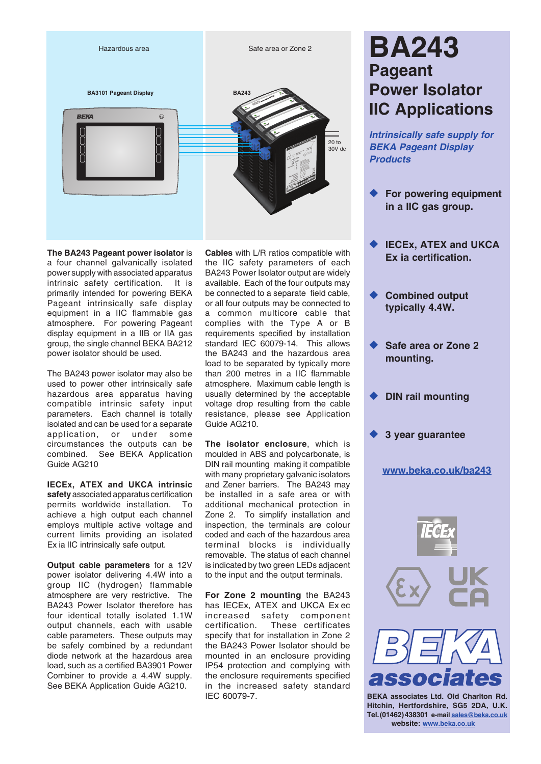

**The BA243 Pageant power isolator** is a four channel galvanically isolated power supply with associated apparatus intrinsic safety certification. It is primarily intended for powering BEKA Pageant intrinsically safe display equipment in a IIC flammable gas atmosphere. For powering Pageant display equipment in a IIB or IIA gas group, the single channel BEKA BA212 power isolator should be used.

The BA243 power isolator may also be used to power other intrinsically safe hazardous area apparatus having compatible intrinsic safety input parameters. Each channel is totally isolated and can be used for a separate application, or under some circumstances the outputs can be combined. See BEKA Application Guide AG210

**IECEx, ATEX and UKCA intrinsic safety** associated apparatus certification permits worldwide installation. To achieve a high output each channel employs multiple active voltage and current limits providing an isolated Ex ia IIC intrinsically safe output.

**Output cable parameters** for a 12V power isolator delivering 4.4W into a group IIC (hydrogen) flammable atmosphere are very restrictive. The BA243 Power Isolator therefore has four identical totally isolated 1.1W output channels, each with usable cable parameters. These outputs may be safely combined by a redundant diode network at the hazardous area load, such as a certified BA3901 Power Combiner to provide a 4.4W supply. See BEKA Application Guide AG210.

**Cables** with L/R ratios compatible with the IIC safety parameters of each BA243 Power Isolator output are widely available. Each of the four outputs may be connected to a separate field cable, or all four outputs may be connected to a common multicore cable that complies with the Type A or B requirements specified by installation standard IEC 60079-14. This allows the BA243 and the hazardous area load to be separated by typically more than 200 metres in a IIC flammable atmosphere. Maximum cable length is usually determined by the acceptable voltage drop resulting from the cable resistance, please see Application Guide AG210.

**The isolator enclosure**, which is moulded in ABS and polycarbonate, is DIN rail mounting making it compatible with many proprietary galvanic isolators and Zener barriers. The BA243 may be installed in a safe area or with additional mechanical protection in Zone 2. To simplify installation and inspection, the terminals are colour coded and each of the hazardous area terminal blocks is individually removable. The status of each channel is indicated by two green LEDs adjacent to the input and the output terminals.

**For Zone 2 mounting** the BA243 has IECEx, ATEX and UKCA Ex ec increased safety component certification. These certificates specify that for installation in Zone 2 the BA243 Power Isolator should be mounted in an enclosure providing IP54 protection and complying with the enclosure requirements specified in the increased safety standard IEC 60079-7.

# **BA243 Pageant Power Isolator IIC Applications**

*Intrinsically safe supply for BEKA Pageant Display Products* 

- **For powering equipment in a IIC gas group.**
- **IECEX, ATEX and UKCA Ex ia certification.**
- **Combined output typically 4.4W.**
- Safe area or Zone 2 **mounting.**
- **DIN rail mounting**
- **3 year guarantee**

#### **[www.beka.co.uk/ba24](https://www.beka.co.uk/ba243)3**





**Hitchin, Hertfordshire, SG5 2DA, U.K. Tel.(01462)438301 e-mail [sales@beka.co.uk](mailto:sales@beka.co.uk) website: [www.beka.co.uk](http://www.beka.co.uk)**